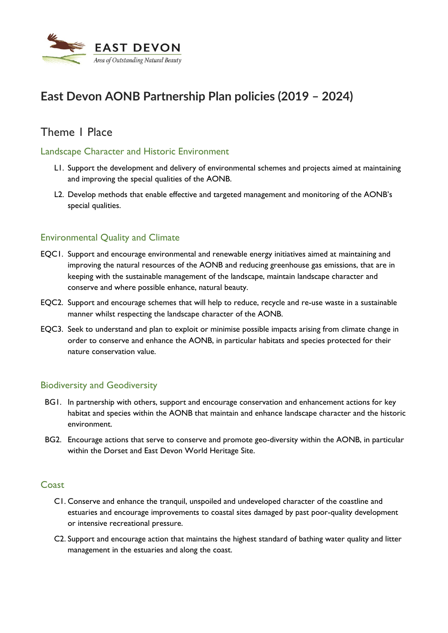

# **East Devon AONB Partnership Plan policies (2019 – 2024)**

# Theme 1 Place

# Landscape Character and Historic Environment

- L1. Support the development and delivery of environmental schemes and projects aimed at maintaining and improving the special qualities of the AONB.
- L2. Develop methods that enable effective and targeted management and monitoring of the AONB's special qualities.

# Environmental Quality and Climate

- EQC1. Support and encourage environmental and renewable energy initiatives aimed at maintaining and improving the natural resources of the AONB and reducing greenhouse gas emissions, that are in keeping with the sustainable management of the landscape, maintain landscape character and conserve and where possible enhance, natural beauty.
- EQC2. Support and encourage schemes that will help to reduce, recycle and re-use waste in a sustainable manner whilst respecting the landscape character of the AONB.
- EQC3. Seek to understand and plan to exploit or minimise possible impacts arising from climate change in order to conserve and enhance the AONB, in particular habitats and species protected for their nature conservation value.

# Biodiversity and Geodiversity

- BG1. In partnership with others, support and encourage conservation and enhancement actions for key habitat and species within the AONB that maintain and enhance landscape character and the historic environment.
- BG2. Encourage actions that serve to conserve and promote geo-diversity within the AONB, in particular within the Dorset and East Devon World Heritage Site.

#### **Coast**

- C1. Conserve and enhance the tranquil, unspoiled and undeveloped character of the coastline and estuaries and encourage improvements to coastal sites damaged by past poor-quality development or intensive recreational pressure.
- C2. Support and encourage action that maintains the highest standard of bathing water quality and litter management in the estuaries and along the coast.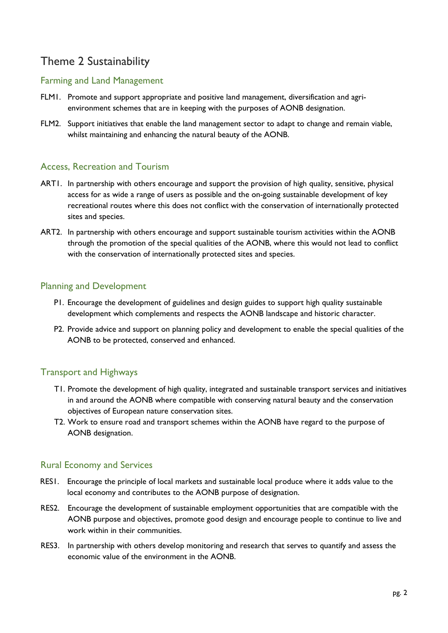# Theme 2 Sustainability

# Farming and Land Management

- FLM1. Promote and support appropriate and positive land management, diversification and agrienvironment schemes that are in keeping with the purposes of AONB designation.
- FLM2. Support initiatives that enable the land management sector to adapt to change and remain viable, whilst maintaining and enhancing the natural beauty of the AONB.

#### Access, Recreation and Tourism

- ART1. In partnership with others encourage and support the provision of high quality, sensitive, physical access for as wide a range of users as possible and the on-going sustainable development of key recreational routes where this does not conflict with the conservation of internationally protected sites and species.
- ART2. In partnership with others encourage and support sustainable tourism activities within the AONB through the promotion of the special qualities of the AONB, where this would not lead to conflict with the conservation of internationally protected sites and species.

#### Planning and Development

- P1. Encourage the development of guidelines and design guides to support high quality sustainable development which complements and respects the AONB landscape and historic character.
- P2. Provide advice and support on planning policy and development to enable the special qualities of the AONB to be protected, conserved and enhanced.

# Transport and Highways

- T1. Promote the development of high quality, integrated and sustainable transport services and initiatives in and around the AONB where compatible with conserving natural beauty and the conservation objectives of European nature conservation sites.
- T2. Work to ensure road and transport schemes within the AONB have regard to the purpose of AONB designation.

# Rural Economy and Services

- RES1. Encourage the principle of local markets and sustainable local produce where it adds value to the local economy and contributes to the AONB purpose of designation.
- RES2. Encourage the development of sustainable employment opportunities that are compatible with the AONB purpose and objectives, promote good design and encourage people to continue to live and work within in their communities.
- RES3. In partnership with others develop monitoring and research that serves to quantify and assess the economic value of the environment in the AONB.